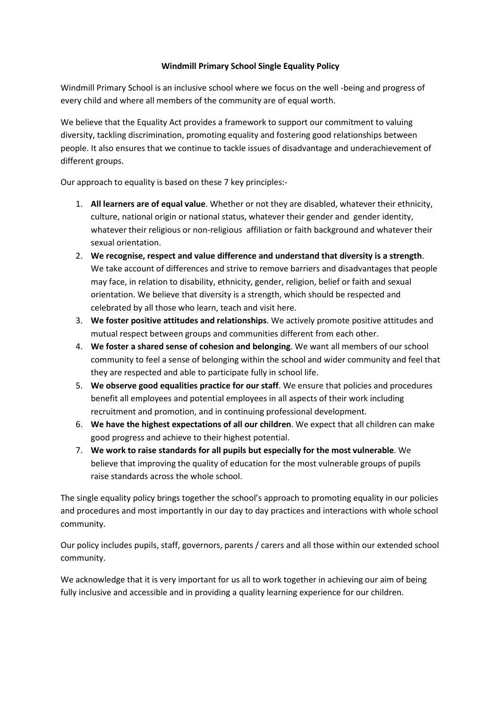### **Windmill Primary School Single Equality Policy**

Windmill Primary School is an inclusive school where we focus on the well -being and progress of every child and where all members of the community are of equal worth.

We believe that the Equality Act provides a framework to support our commitment to valuing diversity, tackling discrimination, promoting equality and fostering good relationships between people. It also ensures that we continue to tackle issues of disadvantage and underachievement of different groups.

Our approach to equality is based on these 7 key principles:-

- 1. **All learners are of equal value**. Whether or not they are disabled, whatever their ethnicity, culture, national origin or national status, whatever their gender and gender identity, whatever their religious or non-religious affiliation or faith background and whatever their sexual orientation.
- 2. **We recognise, respect and value difference and understand that diversity is a strength**. We take account of differences and strive to remove barriers and disadvantages that people may face, in relation to disability, ethnicity, gender, religion, belief or faith and sexual orientation. We believe that diversity is a strength, which should be respected and celebrated by all those who learn, teach and visit here.
- 3. **We foster positive attitudes and relationships**. We actively promote positive attitudes and mutual respect between groups and communities different from each other.
- 4. **We foster a shared sense of cohesion and belonging**. We want all members of our school community to feel a sense of belonging within the school and wider community and feel that they are respected and able to participate fully in school life.
- 5. **We observe good equalities practice for our staff**. We ensure that policies and procedures benefit all employees and potential employees in all aspects of their work including recruitment and promotion, and in continuing professional development.
- 6. **We have the highest expectations of all our children**. We expect that all children can make good progress and achieve to their highest potential.
- 7. **We work to raise standards for all pupils but especially for the most vulnerable**. We believe that improving the quality of education for the most vulnerable groups of pupils raise standards across the whole school.

The single equality policy brings together the school's approach to promoting equality in our policies and procedures and most importantly in our day to day practices and interactions with whole school community.

Our policy includes pupils, staff, governors, parents / carers and all those within our extended school community.

We acknowledge that it is very important for us all to work together in achieving our aim of being fully inclusive and accessible and in providing a quality learning experience for our children.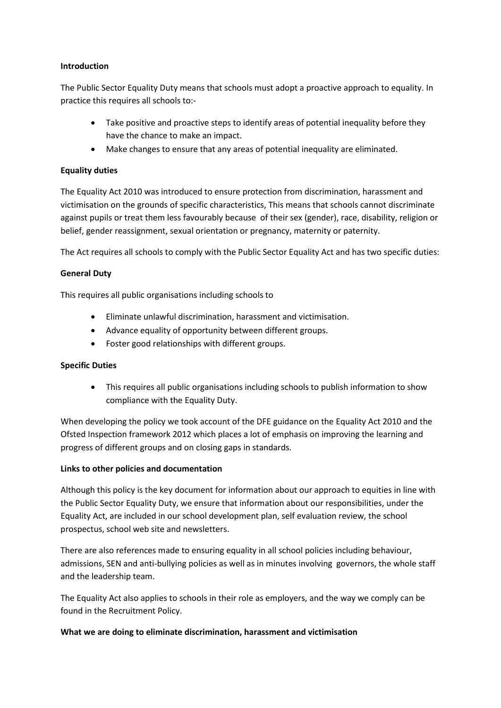### **Introduction**

The Public Sector Equality Duty means that schools must adopt a proactive approach to equality. In practice this requires all schools to:-

- Take positive and proactive steps to identify areas of potential inequality before they have the chance to make an impact.
- Make changes to ensure that any areas of potential inequality are eliminated.

## **Equality duties**

The Equality Act 2010 was introduced to ensure protection from discrimination, harassment and victimisation on the grounds of specific characteristics, This means that schools cannot discriminate against pupils or treat them less favourably because of their sex (gender), race, disability, religion or belief, gender reassignment, sexual orientation or pregnancy, maternity or paternity.

The Act requires all schools to comply with the Public Sector Equality Act and has two specific duties:

## **General Duty**

This requires all public organisations including schools to

- Eliminate unlawful discrimination, harassment and victimisation.
- Advance equality of opportunity between different groups.
- Foster good relationships with different groups.

#### **Specific Duties**

• This requires all public organisations including schools to publish information to show compliance with the Equality Duty.

When developing the policy we took account of the DFE guidance on the Equality Act 2010 and the Ofsted Inspection framework 2012 which places a lot of emphasis on improving the learning and progress of different groups and on closing gaps in standards.

#### **Links to other policies and documentation**

Although this policy is the key document for information about our approach to equities in line with the Public Sector Equality Duty, we ensure that information about our responsibilities, under the Equality Act, are included in our school development plan, self evaluation review, the school prospectus, school web site and newsletters.

There are also references made to ensuring equality in all school policies including behaviour, admissions, SEN and anti-bullying policies as well as in minutes involving governors, the whole staff and the leadership team.

The Equality Act also applies to schools in their role as employers, and the way we comply can be found in the Recruitment Policy.

#### **What we are doing to eliminate discrimination, harassment and victimisation**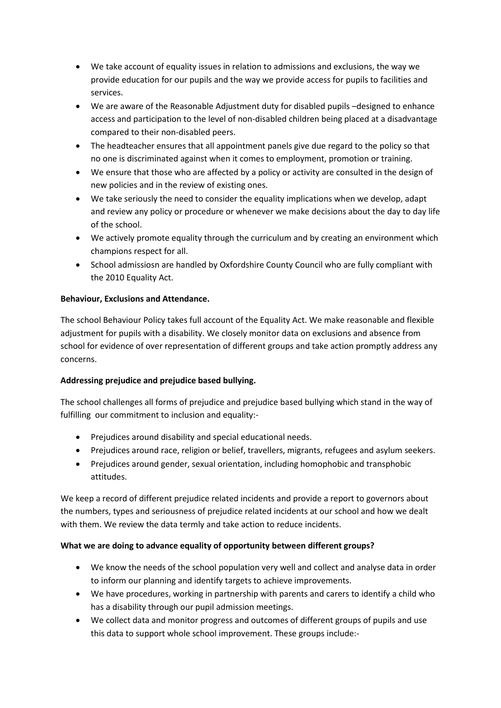- We take account of equality issues in relation to admissions and exclusions, the way we provide education for our pupils and the way we provide access for pupils to facilities and services.
- We are aware of the Reasonable Adjustment duty for disabled pupils –designed to enhance access and participation to the level of non-disabled children being placed at a disadvantage compared to their non-disabled peers.
- The headteacher ensures that all appointment panels give due regard to the policy so that no one is discriminated against when it comes to employment, promotion or training.
- We ensure that those who are affected by a policy or activity are consulted in the design of new policies and in the review of existing ones.
- We take seriously the need to consider the equality implications when we develop, adapt and review any policy or procedure or whenever we make decisions about the day to day life of the school.
- We actively promote equality through the curriculum and by creating an environment which champions respect for all.
- School admissiosn are handled by Oxfordshire County Council who are fully compliant with the 2010 Equality Act.

## **Behaviour, Exclusions and Attendance.**

The school Behaviour Policy takes full account of the Equality Act. We make reasonable and flexible adjustment for pupils with a disability. We closely monitor data on exclusions and absence from school for evidence of over representation of different groups and take action promptly address any concerns.

## **Addressing prejudice and prejudice based bullying.**

The school challenges all forms of prejudice and prejudice based bullying which stand in the way of fulfilling our commitment to inclusion and equality:-

- Prejudices around disability and special educational needs.
- Prejudices around race, religion or belief, travellers, migrants, refugees and asylum seekers.
- Prejudices around gender, sexual orientation, including homophobic and transphobic attitudes.

We keep a record of different prejudice related incidents and provide a report to governors about the numbers, types and seriousness of prejudice related incidents at our school and how we dealt with them. We review the data termly and take action to reduce incidents.

## **What we are doing to advance equality of opportunity between different groups?**

- We know the needs of the school population very well and collect and analyse data in order to inform our planning and identify targets to achieve improvements.
- We have procedures, working in partnership with parents and carers to identify a child who has a disability through our pupil admission meetings.
- We collect data and monitor progress and outcomes of different groups of pupils and use this data to support whole school improvement. These groups include:-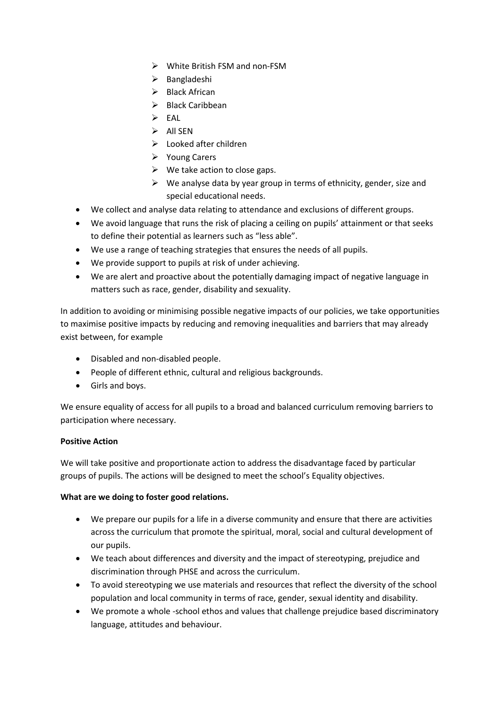- White British FSM and non-FSM
- $\triangleright$  Bangladeshi
- $\triangleright$  Black African
- > Black Caribbean
- $\triangleright$  FAI
- $\triangleright$  All SEN
- $\triangleright$  Looked after children
- **▶** Young Carers
- $\triangleright$  We take action to close gaps.
- $\triangleright$  We analyse data by year group in terms of ethnicity, gender, size and special educational needs.
- We collect and analyse data relating to attendance and exclusions of different groups.
- We avoid language that runs the risk of placing a ceiling on pupils' attainment or that seeks to define their potential as learners such as "less able".
- We use a range of teaching strategies that ensures the needs of all pupils.
- We provide support to pupils at risk of under achieving.
- We are alert and proactive about the potentially damaging impact of negative language in matters such as race, gender, disability and sexuality.

In addition to avoiding or minimising possible negative impacts of our policies, we take opportunities to maximise positive impacts by reducing and removing inequalities and barriers that may already exist between, for example

- Disabled and non-disabled people.
- People of different ethnic, cultural and religious backgrounds.
- Girls and boys.

We ensure equality of access for all pupils to a broad and balanced curriculum removing barriers to participation where necessary.

## **Positive Action**

We will take positive and proportionate action to address the disadvantage faced by particular groups of pupils. The actions will be designed to meet the school's Equality objectives.

## **What are we doing to foster good relations.**

- We prepare our pupils for a life in a diverse community and ensure that there are activities across the curriculum that promote the spiritual, moral, social and cultural development of our pupils.
- We teach about differences and diversity and the impact of stereotyping, prejudice and discrimination through PHSE and across the curriculum.
- To avoid stereotyping we use materials and resources that reflect the diversity of the school population and local community in terms of race, gender, sexual identity and disability.
- We promote a whole -school ethos and values that challenge prejudice based discriminatory language, attitudes and behaviour.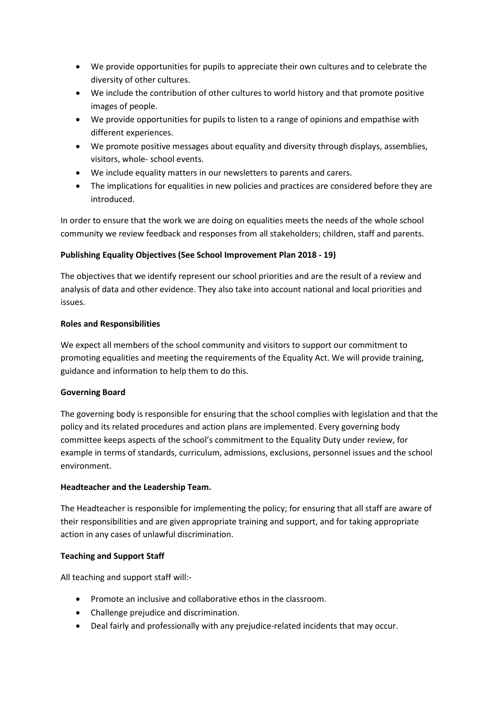- We provide opportunities for pupils to appreciate their own cultures and to celebrate the diversity of other cultures.
- We include the contribution of other cultures to world history and that promote positive images of people.
- We provide opportunities for pupils to listen to a range of opinions and empathise with different experiences.
- We promote positive messages about equality and diversity through displays, assemblies, visitors, whole- school events.
- We include equality matters in our newsletters to parents and carers.
- The implications for equalities in new policies and practices are considered before they are introduced.

In order to ensure that the work we are doing on equalities meets the needs of the whole school community we review feedback and responses from all stakeholders; children, staff and parents.

# **Publishing Equality Objectives (See School Improvement Plan 2018 - 19)**

The objectives that we identify represent our school priorities and are the result of a review and analysis of data and other evidence. They also take into account national and local priorities and issues.

## **Roles and Responsibilities**

We expect all members of the school community and visitors to support our commitment to promoting equalities and meeting the requirements of the Equality Act. We will provide training, guidance and information to help them to do this.

## **Governing Board**

The governing body is responsible for ensuring that the school complies with legislation and that the policy and its related procedures and action plans are implemented. Every governing body committee keeps aspects of the school's commitment to the Equality Duty under review, for example in terms of standards, curriculum, admissions, exclusions, personnel issues and the school environment.

## **Headteacher and the Leadership Team.**

The Headteacher is responsible for implementing the policy; for ensuring that all staff are aware of their responsibilities and are given appropriate training and support, and for taking appropriate action in any cases of unlawful discrimination.

## **Teaching and Support Staff**

All teaching and support staff will:-

- Promote an inclusive and collaborative ethos in the classroom.
- Challenge prejudice and discrimination.
- Deal fairly and professionally with any prejudice-related incidents that may occur.